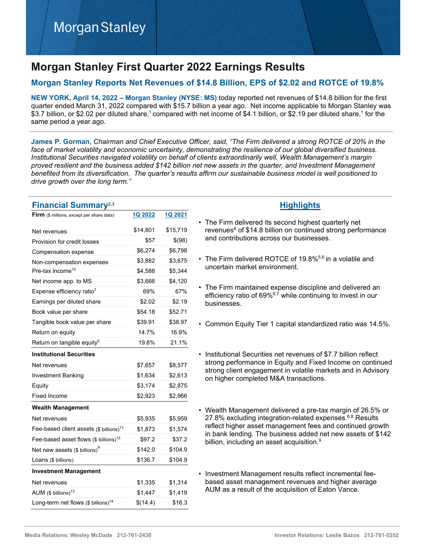# **Morgan Stanley First Quarter 2022 Earnings Results**

# **Morgan Stanley Reports Net Revenues of \$14.8 Billion, EPS of \$2.02 and ROTCE of 19.8%**

**NEW YORK, April 14, 2022 – Morgan Stanley (NYSE: MS)** today reported net revenues of \$14.8 billion for the first quarter ended March 31, 2022 compared with \$15.7 billion a year ago. Net income applicable to Morgan Stanley was \$3.7 billion, or \$2.02 per diluted share,<sup>1</sup> compared with net income of \$4.1 billion, or \$2.19 per diluted share,<sup>1</sup> for the same period a year ago.

**James P. Gorman,** *Chairman and Chief Executive Officer, said, "The Firm delivered a strong ROTCE of 20% in the*  face of market volatility and economic uncertainty, demonstrating the resilience of our global diversified business. *Institutional Securities navigated volatility on behalf of clients extraordinarily well, Wealth Management's margin proved resilient and the business added \$142 billion net new assets in the quarter, and Investment Management benefited from its diversification. The quarter's results affirm our sustainable business model is well positioned to drive growth over the long term."*

| <b>Financial Summary</b> <sup>2,3</sup>               |                |          |
|-------------------------------------------------------|----------------|----------|
| <b>Firm</b> (\$ millions, except per share data)      | <b>1Q 2022</b> | 1Q 2021  |
| Net revenues                                          | \$14,801       | \$15,719 |
| Provision for credit losses                           | \$57           | \$(98)   |
| Compensation expense                                  | \$6,274        | \$6,798  |
| Non-compensation expenses                             | \$3,882        | \$3,675  |
| Pre-tax income <sup>10</sup>                          | \$4,588        | \$5,344  |
| Net income app. to MS                                 | \$3,666        | \$4,120  |
| Expense efficiency ratio <sup>7</sup>                 | 69%            | 67%      |
| Earnings per diluted share                            | \$2.02         | \$2.19   |
| Book value per share                                  | \$54.18        | \$52.71  |
| Tangible book value per share                         | \$39.91        | \$38.97  |
| Return on equity                                      | 14.7%          | 16.9%    |
| Return on tangible equity <sup>5</sup>                | 19.8%          | 21.1%    |
| <b>Institutional Securities</b>                       |                |          |
| Net revenues                                          | \$7,657        | \$8,577  |
| Investment Banking                                    | \$1,634        | \$2,613  |
| Equity                                                | \$3,174        | \$2,875  |
| <b>Fixed Income</b>                                   | \$2,923        | \$2,966  |
| <b>Wealth Management</b>                              |                |          |
| Net revenues                                          | \$5,935        | \$5,959  |
| Fee-based client assets $(\$$ billions) <sup>11</sup> | \$1,873        | \$1,574  |
| Fee-based asset flows (\$ billions) <sup>12</sup>     | \$97.2         | \$37.2   |
| Net new assets (\$ billions) $^9$                     | \$142.0        | \$104.9  |
| Loans (\$ billions)                                   | \$136.7        | \$104.9  |
| <b>Investment Management</b>                          |                |          |
| Net revenues                                          | \$1,335        | \$1,314  |
| AUM (\$ billions) $^{13}$                             | \$1,447        | \$1,419  |
| Long-term net flows (\$ billions) <sup>14</sup>       | \$(14.4)       | \$16.3   |

# **Highlights**

- The Firm delivered its second highest quarterly net revenues<sup>4</sup> of \$14.8 billion on continued strong performance and contributions across our businesses.
- The Firm delivered ROTCE of 19.8%<sup>5,6</sup> in a volatile and uncertain market environment.
- The Firm maintained expense discipline and delivered an efficiency ratio of 69%<sup>6,7</sup> while continuing to invest in our businesses.
- Common Equity Tier 1 capital standardized ratio was 14.5%.
- Institutional Securities net revenues of \$7.7 billion reflect strong performance in Equity and Fixed Income on continued strong client engagement in volatile markets and in Advisory on higher completed M&A transactions.
- Wealth Management delivered a pre-tax margin of 26.5% or 27.8% excluding integration-related expenses.<sup>6,8</sup> Results reflect higher asset management fees and continued growth in bank lending. The business added net new assets of \$142 billion, including an asset acquisition.<sup>9</sup>
- Investment Management results reflect incremental feebased asset management revenues and higher average AUM as a result of the acquisition of Eaton Vance.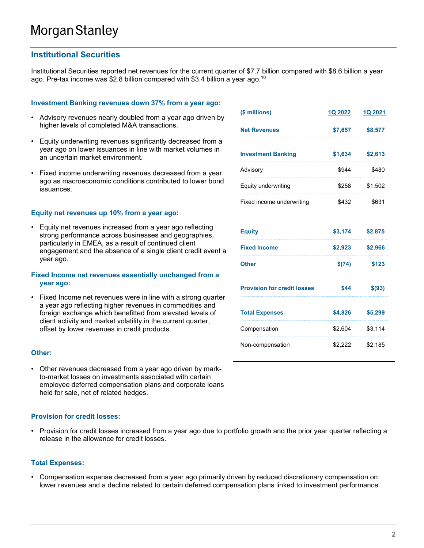## **Institutional Securities**

Institutional Securities reported net revenues for the current quarter of \$7.7 billion compared with \$8.6 billion a year ago. Pre-tax income was \$2.8 billion compared with \$3.4 billion a year ago.<sup>10</sup>

#### **Investment Banking revenues down 37% from a year ago:**

- Advisory revenues nearly doubled from a year ago driven by higher levels of completed M&A transactions.
- Equity underwriting revenues significantly decreased from a year ago on lower issuances in line with market volumes in an uncertain market environment.
- Fixed income underwriting revenues decreased from a year ago as macroeconomic conditions contributed to lower bond issuances.

#### **Equity net revenues up 10% from a year ago:**

• Equity net revenues increased from a year ago reflecting strong performance across businesses and geographies, particularly in EMEA, as a result of continued client engagement and the absence of a single client credit event a year ago.

#### **Fixed Income net revenues essentially unchanged from a year ago:**

• Fixed Income net revenues were in line with a strong quarter a year ago reflecting higher revenues in commodities and foreign exchange which benefitted from elevated levels of client activity and market volatility in the current quarter, offset by lower revenues in credit products.

#### **Other:**

• Other revenues decreased from a year ago driven by markto-market losses on investments associated with certain employee deferred compensation plans and corporate loans held for sale, net of related hedges.

#### **Provision for credit losses:**

• Provision for credit losses increased from a year ago due to portfolio growth and the prior year quarter reflecting a release in the allowance for credit losses.

#### **Total Expenses:**

• Compensation expense decreased from a year ago primarily driven by reduced discretionary compensation on lower revenues and a decline related to certain deferred compensation plans linked to investment performance.

| (\$ millions)                      | 1Q 2022 | 1Q 2021 |
|------------------------------------|---------|---------|
| <b>Net Revenues</b>                | \$7,657 | \$8,577 |
| <b>Investment Banking</b>          | \$1,634 | \$2,613 |
| Advisory                           | \$944   | \$480   |
| Equity underwriting                | \$258   | \$1,502 |
| Fixed income underwriting          | \$432   | \$631   |
|                                    |         |         |
| <b>Equity</b>                      | \$3,174 | \$2,875 |
| <b>Fixed Income</b>                | \$2,923 | \$2,966 |
| <b>Other</b>                       | \$(74)  | \$123   |
| <b>Provision for credit losses</b> | \$44    | \$(93)  |
| <b>Total Expenses</b>              | \$4,826 | \$5,299 |
| Compensation                       | \$2,604 | \$3,114 |
| Non-compensation                   | \$2,222 | \$2,185 |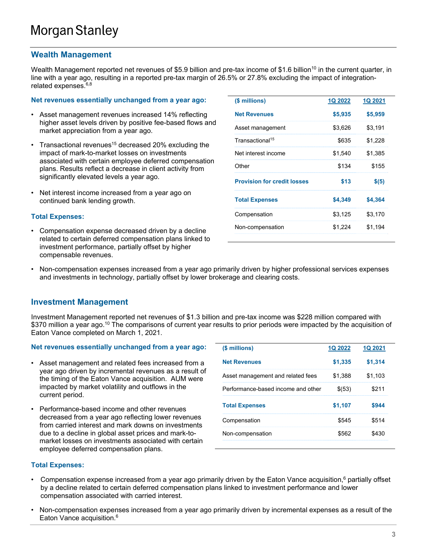## **Wealth Management**

Wealth Management reported net revenues of \$5.9 billion and pre-tax income of \$1.6 billion<sup>10</sup> in the current quarter, in line with a year ago, resulting in a reported pre-tax margin of 26.5% or 27.8% excluding the impact of integrationrelated expenses.<sup>6,8</sup>

#### **Net revenues essentially unchanged from a year ago:**

- Asset management revenues increased 14% reflecting higher asset levels driven by positive fee-based flows and market appreciation from a year ago.
- Transactional revenues<sup>15</sup> decreased 20% excluding the impact of mark-to-market losses on investments associated with certain employee deferred compensation plans. Results reflect a decrease in client activity from significantly elevated levels a year ago.
- Net interest income increased from a year ago on continued bank lending growth.

#### **Total Expenses:**

• Compensation expense decreased driven by a decline related to certain deferred compensation plans linked to investment performance, partially offset by higher compensable revenues.

| (\$ millions)                      | <b>1Q 2022</b> | <b>1Q 2021</b> |
|------------------------------------|----------------|----------------|
| <b>Net Revenues</b>                | \$5,935        | \$5,959        |
| Asset management                   | \$3.626        | \$3,191        |
| Transactional <sup>15</sup>        | \$635          | \$1,228        |
| Net interest income                | \$1.540        | \$1.385        |
| Other                              | \$134          | \$155          |
| <b>Provision for credit losses</b> | \$13           | \$(5)          |
| <b>Total Expenses</b>              | \$4,349        | \$4,364        |
| Compensation                       | \$3.125        | \$3.170        |
| Non-compensation                   | \$1,224        | \$1.194        |
|                                    |                |                |

• Non-compensation expenses increased from a year ago primarily driven by higher professional services expenses and investments in technology, partially offset by lower brokerage and clearing costs.

### **Investment Management**

Investment Management reported net revenues of \$1.3 billion and pre-tax income was \$228 million compared with \$370 million a year ago.<sup>10</sup> The comparisons of current year results to prior periods were impacted by the acquisition of Eaton Vance completed on March 1, 2021.

#### **Net revenues essentially unchanged from a year ago:**

- Asset management and related fees increased from a year ago driven by incremental revenues as a result of the timing of the Eaton Vance acquisition. AUM were impacted by market volatility and outflows in the current period.
- Performance-based income and other revenues decreased from a year ago reflecting lower revenues from carried interest and mark downs on investments due to a decline in global asset prices and mark-tomarket losses on investments associated with certain employee deferred compensation plans.

| (\$ millions)                      | O 2022  |         |
|------------------------------------|---------|---------|
| <b>Net Revenues</b>                | \$1,335 | \$1,314 |
| Asset management and related fees  | \$1.388 | \$1.103 |
| Performance-based income and other | \$(53)  | 211     |
| <b>Total Expenses</b>              | \$1,107 |         |
| Compensation                       | \$545   | \$514   |
| Non-compensation                   | \$562   |         |
|                                    |         |         |

#### **Total Expenses:**

- Compensation expense increased from a year ago primarily driven by the Eaton Vance acquisition,<sup>6</sup> partially offset by a decline related to certain deferred compensation plans linked to investment performance and lower compensation associated with carried interest.
- Non-compensation expenses increased from a year ago primarily driven by incremental expenses as a result of the Eaton Vance acquisition.<sup>6</sup>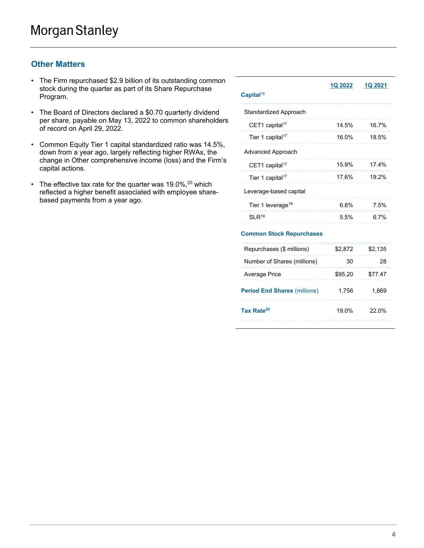# **Other Matters**

- The Firm repurchased \$2.9 billion of its outstanding common stock during the quarter as part of its Share Repurchase Program.
- The Board of Directors declared a \$0.70 quarterly dividend per share, payable on May 13, 2022 to common shareholders of record on April 29, 2022.
- Common Equity Tier 1 capital standardized ratio was 14.5%, down from a year ago, largely reflecting higher RWAs, the change in Other comprehensive income (loss) and the Firm's capital actions.
- The effective tax rate for the quarter was  $19.0\%,^{20}$  which reflected a higher benefit associated with employee sharebased payments from a year ago.

| Capital <sup>16</sup>           | <b>1Q 2022</b> | <b>1Q 2021</b> |
|---------------------------------|----------------|----------------|
| Standardized Approach           |                |                |
| CET1 capital <sup>17</sup>      | 14.5%          | 16.7%          |
| Tier 1 capital <sup>17</sup>    | 16.0%          | 18.5%          |
| <b>Advanced Approach</b>        |                |                |
| CET1 capital <sup>17</sup>      | 15.9%          | 17.4%          |
| Tier 1 capital <sup>17</sup>    | 17.6%          | 19.2%          |
| Leverage-based capital          |                |                |
| Tier 1 leverage <sup>18</sup>   | 6.8%           | 7.5%           |
| $SI$ R <sup>19</sup>            | 5.5%           | 6.7%           |
| <b>Common Stock Repurchases</b> |                |                |

| Repurchases (\$ millions)           | \$2.872 | \$2.135 |
|-------------------------------------|---------|---------|
| Number of Shares (millions)         |         |         |
| <b>Average Price</b>                | \$95.20 | 77.47   |
| <b>Period End Shares (millions)</b> | 1.756   | 1.86    |
| Tax Rate <sup>20</sup>              | 19.0%   | ኃኃ በ‰   |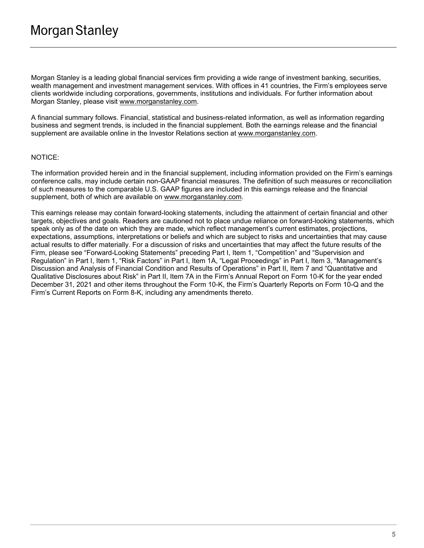Morgan Stanley is a leading global financial services firm providing a wide range of investment banking, securities, wealth management and investment management services. With offices in 41 countries, the Firm's employees serve clients worldwide including corporations, governments, institutions and individuals. For further information about Morgan Stanley, please visit www.morganstanley.com.

A financial summary follows. Financial, statistical and business-related information, as well as information regarding business and segment trends, is included in the financial supplement. Both the earnings release and the financial supplement are available online in the Investor Relations section at www.morganstanley.com.

#### NOTICE:

The information provided herein and in the financial supplement, including information provided on the Firm's earnings conference calls, may include certain non-GAAP financial measures. The definition of such measures or reconciliation of such measures to the comparable U.S. GAAP figures are included in this earnings release and the financial supplement, both of which are available on www.morganstanley.com.

This earnings release may contain forward-looking statements, including the attainment of certain financial and other targets, objectives and goals. Readers are cautioned not to place undue reliance on forward-looking statements, which speak only as of the date on which they are made, which reflect management's current estimates, projections, expectations, assumptions, interpretations or beliefs and which are subject to risks and uncertainties that may cause actual results to differ materially. For a discussion of risks and uncertainties that may affect the future results of the Firm, please see "Forward-Looking Statements" preceding Part I, Item 1, "Competition" and "Supervision and Regulation" in Part I, Item 1, "Risk Factors" in Part I, Item 1A, "Legal Proceedings" in Part I, Item 3, "Management's Discussion and Analysis of Financial Condition and Results of Operations" in Part II, Item 7 and "Quantitative and Qualitative Disclosures about Risk" in Part II, Item 7A in the Firm's Annual Report on Form 10-K for the year ended December 31, 2021 and other items throughout the Form 10-K, the Firm's Quarterly Reports on Form 10-Q and the Firm's Current Reports on Form 8-K, including any amendments thereto.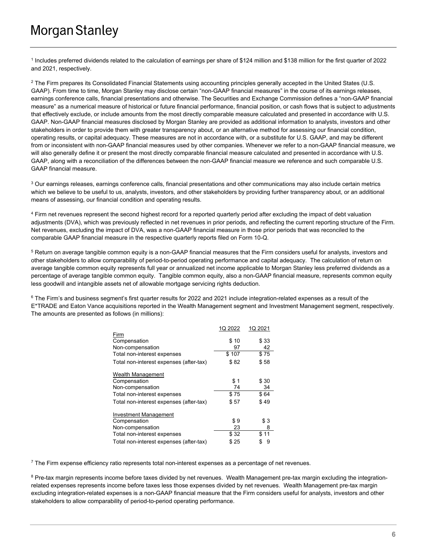1 Includes preferred dividends related to the calculation of earnings per share of \$124 million and \$138 million for the first quarter of 2022 and 2021, respectively.

 $2$  The Firm prepares its Consolidated Financial Statements using accounting principles generally accepted in the United States (U.S. GAAP). From time to time, Morgan Stanley may disclose certain "non-GAAP financial measures" in the course of its earnings releases, earnings conference calls, financial presentations and otherwise. The Securities and Exchange Commission defines a "non-GAAP financial measure" as a numerical measure of historical or future financial performance, financial position, or cash flows that is subject to adjustments that effectively exclude, or include amounts from the most directly comparable measure calculated and presented in accordance with U.S. GAAP. Non-GAAP financial measures disclosed by Morgan Stanley are provided as additional information to analysts, investors and other stakeholders in order to provide them with greater transparency about, or an alternative method for assessing our financial condition, operating results, or capital adequacy. These measures are not in accordance with, or a substitute for U.S. GAAP, and may be different from or inconsistent with non-GAAP financial measures used by other companies. Whenever we refer to a non-GAAP financial measure, we will also generally define it or present the most directly comparable financial measure calculated and presented in accordance with U.S. GAAP, along with a reconciliation of the differences between the non-GAAP financial measure we reference and such comparable U.S. GAAP financial measure.

 $3$  Our earnings releases, earnings conference calls, financial presentations and other communications may also include certain metrics which we believe to be useful to us, analysts, investors, and other stakeholders by providing further transparency about, or an additional means of assessing, our financial condition and operating results.

<sup>4</sup> Firm net revenues represent the second highest record for a reported quarterly period after excluding the impact of debt valuation adjustments (DVA), which was previously reflected in net revenues in prior periods, and reflecting the current reporting structure of the Firm. Net revenues, excluding the impact of DVA, was a non-GAAP financial measure in those prior periods that was reconciled to the comparable GAAP financial measure in the respective quarterly reports filed on Form 10-Q.

<sup>5</sup> Return on average tangible common equity is a non-GAAP financial measures that the Firm considers useful for analysts, investors and other stakeholders to allow comparability of period-to-period operating performance and capital adequacy. The calculation of return on average tangible common equity represents full year or annualized net income applicable to Morgan Stanley less preferred dividends as a percentage of average tangible common equity. Tangible common equity, also a non-GAAP financial measure, represents common equity less goodwill and intangible assets net of allowable mortgage servicing rights deduction.

 $6$  The Firm's and business segment's first quarter results for 2022 and 2021 include integration-related expenses as a result of the E\*TRADE and Eaton Vance acquisitions reported in the Wealth Management segment and Investment Management segment, respectively. The amounts are presented as follows (in millions):

|                                         | 1Q 2022 | 1Q 2021 |
|-----------------------------------------|---------|---------|
| Firm                                    |         |         |
| Compensation                            | \$10    | \$33    |
| Non-compensation                        | 97      | 42      |
| Total non-interest expenses             | \$107   | \$75    |
| Total non-interest expenses (after-tax) | \$82    | \$58    |
| Wealth Management                       |         |         |
| Compensation                            | \$1     | \$30    |
| Non-compensation                        | 74      | 34      |
| Total non-interest expenses             | \$75    | \$64    |
| Total non-interest expenses (after-tax) | \$57    | \$49    |
| <b>Investment Management</b>            |         |         |
| Compensation                            | \$9     | \$3     |
| Non-compensation                        | 23      | 8       |
| Total non-interest expenses             | \$32    | \$11    |
| Total non-interest expenses (after-tax) | \$25    | \$<br>9 |

 $7$  The Firm expense efficiency ratio represents total non-interest expenses as a percentage of net revenues.

<sup>8</sup> Pre-tax margin represents income before taxes divided by net revenues. Wealth Management pre-tax margin excluding the integrationrelated expenses represents income before taxes less those expenses divided by net revenues. Wealth Management pre-tax margin excluding integration-related expenses is a non-GAAP financial measure that the Firm considers useful for analysts, investors and other stakeholders to allow comparability of period-to-period operating performance.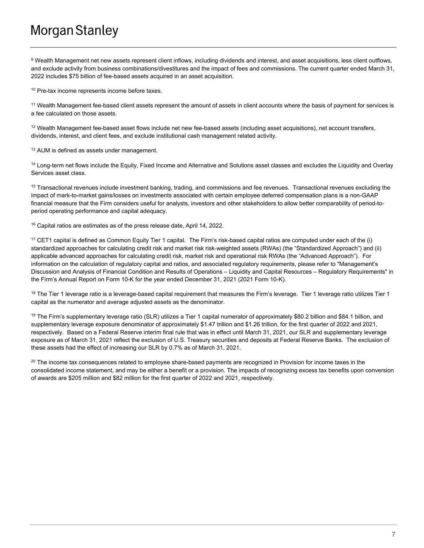# **Morgan Stanley**

9 Wealth Management net new assets represent client inflows, including dividends and interest, and asset acquisitions, less client outflows, and exclude activity from business combinations/divestitures and the impact of fees and commissions. The current quarter ended March 31, 2022 includes \$75 billion of fee-based assets acquired in an asset acquisition.

<sup>10</sup> Pre-tax income represents income before taxes.

<sup>11</sup> Wealth Management fee-based client assets represent the amount of assets in client accounts where the basis of payment for services is a fee calculated on those assets.

 $12$  Wealth Management fee-based asset flows include net new fee-based assets (including asset acquisitions), net account transfers, dividends, interest, and client fees, and exclude institutional cash management related activity.

<sup>13</sup> AUM is defined as assets under management.

<sup>14</sup> Long-term net flows include the Equity, Fixed Income and Alternative and Solutions asset classes and excludes the Liquidity and Overlay Services asset class.

<sup>15</sup> Transactional revenues include investment banking, trading, and commissions and fee revenues. Transactional revenues excluding the impact of mark-to-market gains/losses on investments associated with certain employee deferred compensation plans is a non-GAAP financial measure that the Firm considers useful for analysts, investors and other stakeholders to allow better comparability of period-toperiod operating performance and capital adequacy.

<sup>16</sup> Capital ratios are estimates as of the press release date, April 14, 2022.

<sup>17</sup> CET1 capital is defined as Common Equity Tier 1 capital. The Firm's risk-based capital ratios are computed under each of the (i) standardized approaches for calculating credit risk and market risk risk-weighted assets (RWAs) (the "Standardized Approach") and (ii) applicable advanced approaches for calculating credit risk, market risk and operational risk RWAs (the "Advanced Approach"). For information on the calculation of regulatory capital and ratios, and associated regulatory requirements, please refer to "Management's Discussion and Analysis of Financial Condition and Results of Operations – Liquidity and Capital Resources – Regulatory Requirements" in the Firm's Annual Report on Form 10-K for the year ended December 31, 2021 (2021 Form 10-K).

 $18$  The Tier 1 leverage ratio is a leverage-based capital requirement that measures the Firm's leverage. Tier 1 leverage ratio utilizes Tier 1 capital as the numerator and average adjusted assets as the denominator.

<sup>19</sup> The Firm's supplementary leverage ratio (SLR) utilizes a Tier 1 capital numerator of approximately \$80.2 billion and \$84.1 billion, and supplementary leverage exposure denominator of approximately \$1.47 trillion and \$1.26 trillion, for the first quarter of 2022 and 2021, respectively. Based on a Federal Reserve interim final rule that was in effect until March 31, 2021, our SLR and supplementary leverage exposure as of March 31, 2021 reflect the exclusion of U.S. Treasury securities and deposits at Federal Reserve Banks. The exclusion of these assets had the effect of increasing our SLR by 0.7% as of March 31, 2021.

 $20$  The income tax consequences related to employee share-based payments are recognized in Provision for income taxes in the consolidated income statement, and may be either a benefit or a provision. The impacts of recognizing excess tax benefits upon conversion of awards are \$205 million and \$82 million for the first quarter of 2022 and 2021, respectively.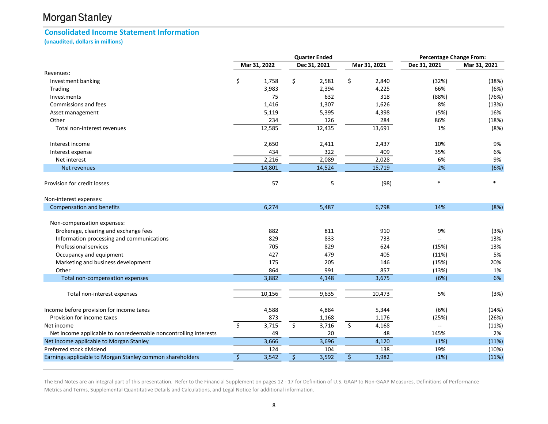# Morgan Stanley

## Consolidated Income Statement Information

(unaudited, dollars in millions)

|                                                                 |                  |              | <b>Quarter Ended</b> |              | <b>Percentage Change From:</b> |              |                          |              |
|-----------------------------------------------------------------|------------------|--------------|----------------------|--------------|--------------------------------|--------------|--------------------------|--------------|
|                                                                 |                  | Mar 31, 2022 |                      | Dec 31, 2021 |                                | Mar 31, 2021 | Dec 31, 2021             | Mar 31, 2021 |
| Revenues:                                                       |                  |              |                      |              |                                |              |                          |              |
| Investment banking                                              | \$               | 1,758        | \$                   | 2,581        | \$                             | 2,840        | (32%)                    | (38%)        |
| Trading                                                         |                  | 3,983        |                      | 2,394        |                                | 4,225        | 66%                      | (6%)         |
| Investments                                                     |                  | 75           |                      | 632          |                                | 318          | (88%)                    | (76%)        |
| Commissions and fees                                            |                  | 1,416        |                      | 1,307        |                                | 1,626        | 8%                       | (13%)        |
| Asset management                                                |                  | 5,119        |                      | 5,395        |                                | 4,398        | (5%)                     | 16%          |
| Other                                                           |                  | 234          |                      | 126          |                                | 284          | 86%                      | (18%)        |
| Total non-interest revenues                                     |                  | 12,585       |                      | 12,435       |                                | 13,691       | 1%                       | (8%)         |
| Interest income                                                 |                  | 2,650        |                      | 2,411        |                                | 2,437        | 10%                      | 9%           |
| Interest expense                                                |                  | 434          |                      | 322          |                                | 409          | 35%                      | 6%           |
| Net interest                                                    |                  | 2,216        |                      | 2,089        |                                | 2,028        | 6%                       | 9%           |
| Net revenues                                                    |                  | 14,801       |                      | 14,524       |                                | 15,719       | 2%                       | (6%)         |
| Provision for credit losses                                     |                  | 57           |                      | 5            |                                | (98)         | $\ast$                   | $\ast$       |
| Non-interest expenses:                                          |                  |              |                      |              |                                |              |                          |              |
| <b>Compensation and benefits</b>                                |                  | 6,274        |                      | 5,487        |                                | 6,798        | 14%                      | (8%)         |
| Non-compensation expenses:                                      |                  |              |                      |              |                                |              |                          |              |
| Brokerage, clearing and exchange fees                           |                  | 882          |                      | 811          |                                | 910          | 9%                       | (3%)         |
| Information processing and communications                       |                  | 829          |                      | 833          |                                | 733          | $\overline{\phantom{a}}$ | 13%          |
| Professional services                                           |                  | 705          |                      | 829          |                                | 624          | (15%)                    | 13%          |
| Occupancy and equipment                                         |                  | 427          |                      | 479          |                                | 405          | (11%)                    | 5%           |
| Marketing and business development                              |                  | 175          |                      | 205          |                                | 146          | (15%)                    | 20%          |
| Other                                                           |                  | 864          |                      | 991          |                                | 857          | (13%)                    | 1%           |
| Total non-compensation expenses                                 |                  | 3,882        |                      | 4,148        |                                | 3,675        | (6%)                     | 6%           |
|                                                                 |                  | 10,156       |                      | 9,635        |                                | 10,473       | 5%                       |              |
| Total non-interest expenses                                     |                  |              |                      |              |                                |              |                          | (3%)         |
| Income before provision for income taxes                        |                  | 4,588        |                      | 4,884        |                                | 5,344        | (6%)                     | (14%)        |
| Provision for income taxes                                      |                  | 873          |                      | 1,168        |                                | 1,176        | (25%)                    | (26%)        |
| Net income                                                      | $\zeta$          | 3,715        | \$                   | 3,716        | \$                             | 4,168        | --                       | (11%)        |
| Net income applicable to nonredeemable noncontrolling interests |                  | 49           |                      | 20           |                                | 48           | 145%                     | 2%           |
| Net income applicable to Morgan Stanley                         |                  | 3,666        |                      | 3,696        |                                | 4,120        | (1%)                     | (11%)        |
| Preferred stock dividend                                        |                  | 124          |                      | 104          |                                | 138          | 19%                      | (10%)        |
| Earnings applicable to Morgan Stanley common shareholders       | $\overline{\xi}$ | 3,542        | $\overline{\xi}$     | 3,592        | $\overline{\xi}$               | 3,982        | (1%)                     | (11%)        |

The End Notes are an integral part of this presentation. Refer to the Financial Supplement on pages 12 - 17 for Definition of U.S. GAAP to Non-GAAP Measures, Definitions of Performance Metrics and Terms, Supplemental Quantitative Details and Calculations, and Legal Notice for additional information.